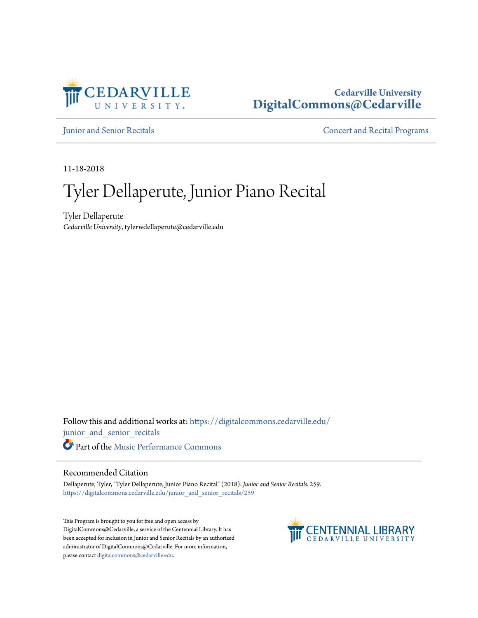

## **Cedarville University [DigitalCommons@Cedarville](https://digitalcommons.cedarville.edu?utm_source=digitalcommons.cedarville.edu%2Fjunior_and_senior_recitals%2F259&utm_medium=PDF&utm_campaign=PDFCoverPages)**

[Junior and Senior Recitals](https://digitalcommons.cedarville.edu/junior_and_senior_recitals?utm_source=digitalcommons.cedarville.edu%2Fjunior_and_senior_recitals%2F259&utm_medium=PDF&utm_campaign=PDFCoverPages) **[Concert and Recital Programs](https://digitalcommons.cedarville.edu/concert_and_recital_programs?utm_source=digitalcommons.cedarville.edu%2Fjunior_and_senior_recitals%2F259&utm_medium=PDF&utm_campaign=PDFCoverPages)** 

11-18-2018

# Tyler Dellaperute, Junior Piano Recital

Tyler Dellaperute *Cedarville University*, tylerwdellaperute@cedarville.edu

Follow this and additional works at: [https://digitalcommons.cedarville.edu/](https://digitalcommons.cedarville.edu/junior_and_senior_recitals?utm_source=digitalcommons.cedarville.edu%2Fjunior_and_senior_recitals%2F259&utm_medium=PDF&utm_campaign=PDFCoverPages) [junior\\_and\\_senior\\_recitals](https://digitalcommons.cedarville.edu/junior_and_senior_recitals?utm_source=digitalcommons.cedarville.edu%2Fjunior_and_senior_recitals%2F259&utm_medium=PDF&utm_campaign=PDFCoverPages) Part of the [Music Performance Commons](http://network.bepress.com/hgg/discipline/1128?utm_source=digitalcommons.cedarville.edu%2Fjunior_and_senior_recitals%2F259&utm_medium=PDF&utm_campaign=PDFCoverPages)

#### Recommended Citation

Dellaperute, Tyler, "Tyler Dellaperute, Junior Piano Recital" (2018). *Junior and Senior Recitals*. 259. [https://digitalcommons.cedarville.edu/junior\\_and\\_senior\\_recitals/259](https://digitalcommons.cedarville.edu/junior_and_senior_recitals/259?utm_source=digitalcommons.cedarville.edu%2Fjunior_and_senior_recitals%2F259&utm_medium=PDF&utm_campaign=PDFCoverPages)

This Program is brought to you for free and open access by DigitalCommons@Cedarville, a service of the Centennial Library. It has been accepted for inclusion in Junior and Senior Recitals by an authorized administrator of DigitalCommons@Cedarville. For more information, please contact [digitalcommons@cedarville.edu.](mailto:digitalcommons@cedarville.edu)